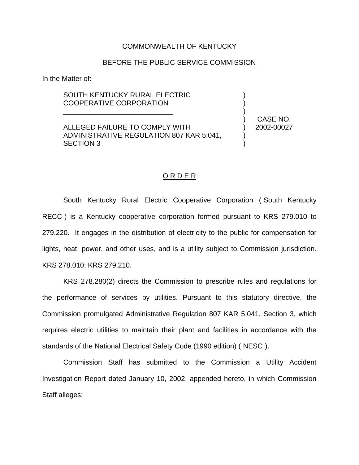#### COMMONWEALTH OF KENTUCKY

#### BEFORE THE PUBLIC SERVICE COMMISSION

In the Matter of:

### SOUTH KENTUCKY RURAL ELECTRIC COOPERATIVE CORPORATION

\_\_\_\_\_\_\_\_\_\_\_\_\_\_\_\_\_\_\_\_\_\_\_\_\_\_\_\_

ALLEGED FAILURE TO COMPLY WITH ADMINISTRATIVE REGULATION 807 KAR 5:041, SECTION 3

) CASE NO. ) 2002-00027

) ) )

) )

#### O R D E R

South Kentucky Rural Electric Cooperative Corporation ( South Kentucky RECC ) is a Kentucky cooperative corporation formed pursuant to KRS 279.010 to 279.220. It engages in the distribution of electricity to the public for compensation for lights, heat, power, and other uses, and is a utility subject to Commission jurisdiction. KRS 278.010; KRS 279.210.

KRS 278.280(2) directs the Commission to prescribe rules and regulations for the performance of services by utilities. Pursuant to this statutory directive, the Commission promulgated Administrative Regulation 807 KAR 5:041, Section 3, which requires electric utilities to maintain their plant and facilities in accordance with the standards of the National Electrical Safety Code (1990 edition) ( NESC ).

Commission Staff has submitted to the Commission a Utility Accident Investigation Report dated January 10, 2002, appended hereto, in which Commission Staff alleges: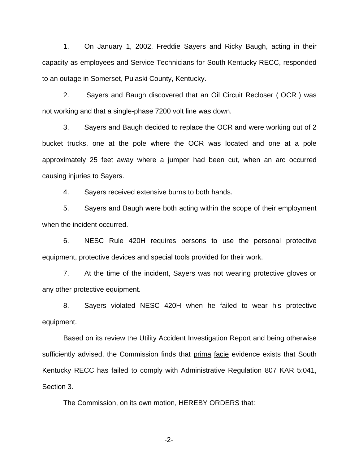1. On January 1, 2002, Freddie Sayers and Ricky Baugh, acting in their capacity as employees and Service Technicians for South Kentucky RECC, responded to an outage in Somerset, Pulaski County, Kentucky.

2. Sayers and Baugh discovered that an Oil Circuit Recloser ( OCR ) was not working and that a single-phase 7200 volt line was down.

3. Sayers and Baugh decided to replace the OCR and were working out of 2 bucket trucks, one at the pole where the OCR was located and one at a pole approximately 25 feet away where a jumper had been cut, when an arc occurred causing injuries to Sayers.

4. Sayers received extensive burns to both hands.

5. Sayers and Baugh were both acting within the scope of their employment when the incident occurred.

6. NESC Rule 420H requires persons to use the personal protective equipment, protective devices and special tools provided for their work.

7. At the time of the incident, Sayers was not wearing protective gloves or any other protective equipment.

8. Sayers violated NESC 420H when he failed to wear his protective equipment.

Based on its review the Utility Accident Investigation Report and being otherwise sufficiently advised, the Commission finds that prima facie evidence exists that South Kentucky RECC has failed to comply with Administrative Regulation 807 KAR 5:041, Section 3.

The Commission, on its own motion, HEREBY ORDERS that:

-2-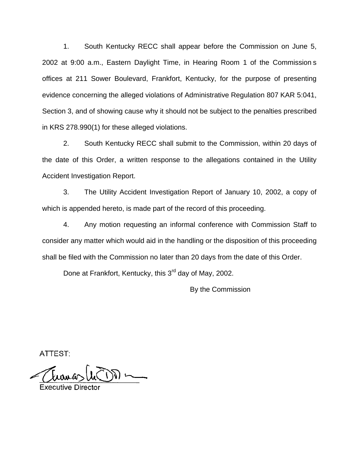1. South Kentucky RECC shall appear before the Commission on June 5, 2002 at 9:00 a.m., Eastern Daylight Time, in Hearing Room 1 of the Commission s offices at 211 Sower Boulevard, Frankfort, Kentucky, for the purpose of presenting evidence concerning the alleged violations of Administrative Regulation 807 KAR 5:041, Section 3, and of showing cause why it should not be subject to the penalties prescribed in KRS 278.990(1) for these alleged violations.

2. South Kentucky RECC shall submit to the Commission, within 20 days of the date of this Order, a written response to the allegations contained in the Utility Accident Investigation Report.

3. The Utility Accident Investigation Report of January 10, 2002, a copy of which is appended hereto, is made part of the record of this proceeding.

4. Any motion requesting an informal conference with Commission Staff to consider any matter which would aid in the handling or the disposition of this proceeding shall be filed with the Commission no later than 20 days from the date of this Order.

Done at Frankfort, Kentucky, this 3<sup>rd</sup> day of May, 2002.

By the Commission

ATTEST: